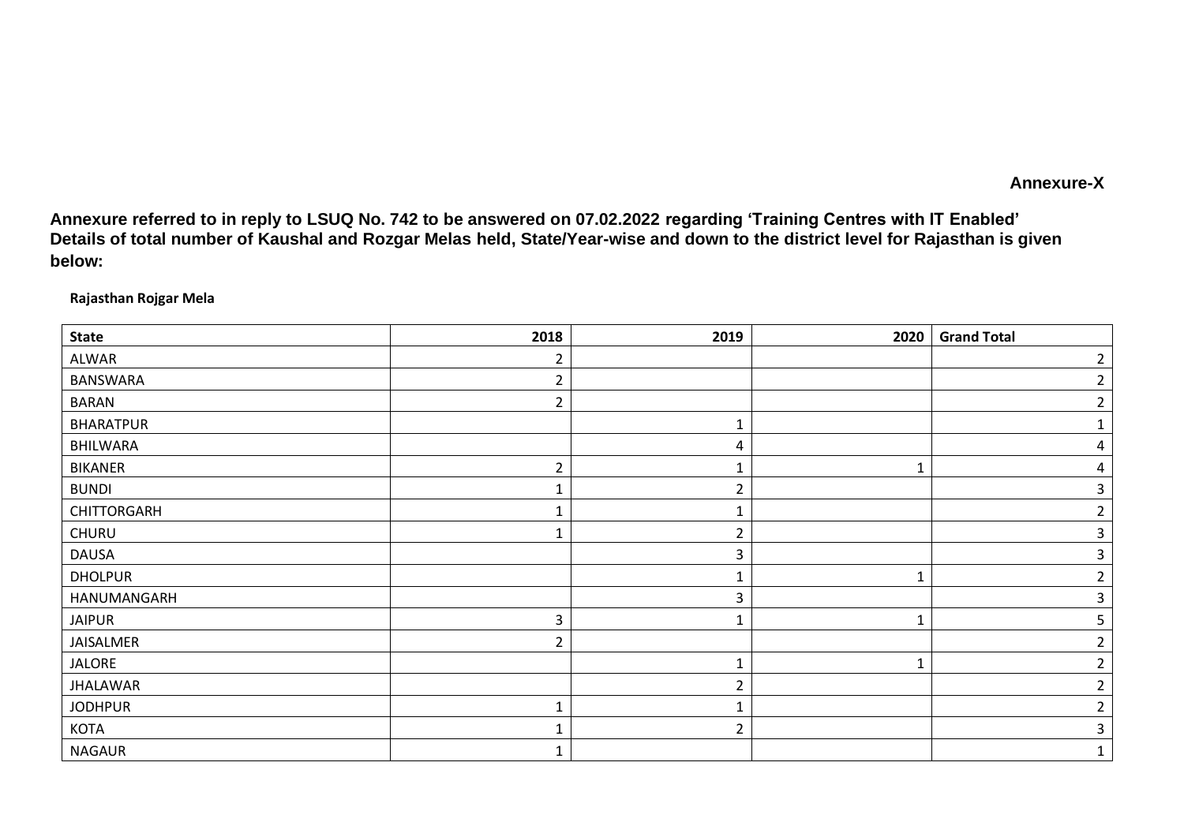## **Annexure-X**

**Annexure referred to in reply to LSUQ No. 742 to be answered on 07.02.2022 regarding 'Training Centres with IT Enabled' Details of total number of Kaushal and Rozgar Melas held, State/Year-wise and down to the district level for Rajasthan is given below:**

**Rajasthan Rojgar Mela**

| <b>State</b>     | 2018 | 2019           | 2020 | <b>Grand Total</b> |
|------------------|------|----------------|------|--------------------|
| ALWAR            | 2    |                |      | $\overline{2}$     |
| BANSWARA         | 2    |                |      | 2                  |
| <b>BARAN</b>     | 2    |                |      |                    |
| <b>BHARATPUR</b> |      | 1              |      |                    |
| BHILWARA         |      | 4              |      | 4                  |
| <b>BIKANER</b>   | 2    | 1              |      | 4                  |
| <b>BUNDI</b>     |      | $\overline{2}$ |      | 3                  |
| CHITTORGARH      |      | $\mathbf{1}$   |      | 2                  |
| CHURU            |      | $\overline{2}$ |      | 3                  |
| <b>DAUSA</b>     |      | 3              |      |                    |
| <b>DHOLPUR</b>   |      |                |      |                    |
| HANUMANGARH      |      | 3              |      |                    |
| <b>JAIPUR</b>    | 3    | 1              |      |                    |
| JAISALMER        | 2    |                |      |                    |
| <b>JALORE</b>    |      | 1              |      | 2                  |
| <b>JHALAWAR</b>  |      | $\overline{2}$ |      | 2                  |
| <b>JODHPUR</b>   |      | 1              |      | 2                  |
| KOTA             |      | $\overline{2}$ |      | 3                  |
| <b>NAGAUR</b>    |      |                |      |                    |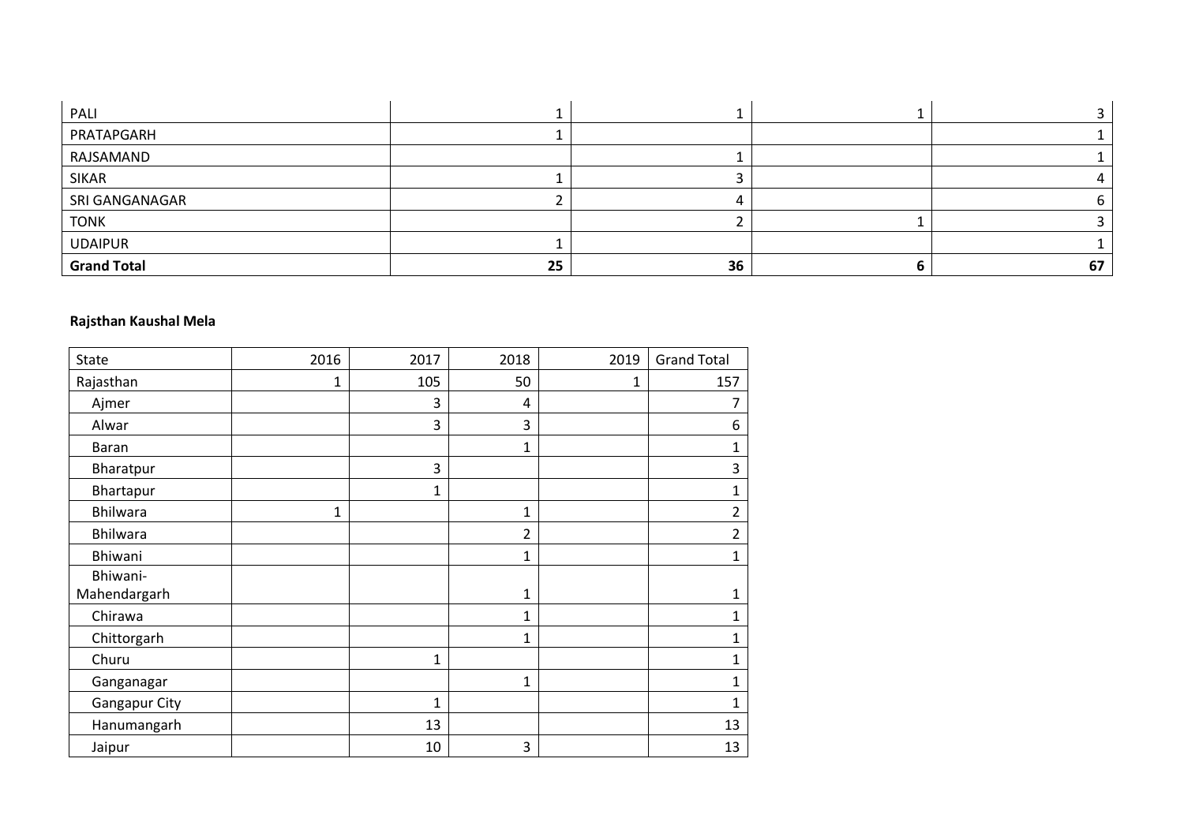| PALI               |    |    |    |
|--------------------|----|----|----|
| PRATAPGARH         |    |    |    |
| RAJSAMAND          |    |    |    |
| <b>SIKAR</b>       |    |    |    |
| SRI GANGANAGAR     |    |    |    |
| <b>TONK</b>        |    |    |    |
| <b>UDAIPUR</b>     |    |    |    |
| <b>Grand Total</b> | 25 | 36 | 67 |

## **Rajsthan Kaushal Mela**

| <b>State</b>         | 2016 | 2017         | 2018           | 2019 | <b>Grand Total</b> |
|----------------------|------|--------------|----------------|------|--------------------|
| Rajasthan            | 1    | 105          | 50             | 1    | 157                |
| Ajmer                |      | 3            | 4              |      | 7                  |
| Alwar                |      | 3            | 3              |      | 6                  |
| Baran                |      |              | 1              |      | 1                  |
| Bharatpur            |      | 3            |                |      | 3                  |
| Bhartapur            |      | $\mathbf{1}$ |                |      | 1                  |
| Bhilwara             | 1    |              | 1              |      | $\overline{2}$     |
| Bhilwara             |      |              | $\overline{2}$ |      | 2                  |
| Bhiwani              |      |              | $\mathbf 1$    |      | 1                  |
| Bhiwani-             |      |              |                |      |                    |
| Mahendargarh         |      |              | 1              |      |                    |
| Chirawa              |      |              | 1              |      | 1                  |
| Chittorgarh          |      |              | 1              |      | 1                  |
| Churu                |      | $\mathbf 1$  |                |      | 1                  |
| Ganganagar           |      |              | $\mathbf 1$    |      | 1                  |
| <b>Gangapur City</b> |      | $\mathbf{1}$ |                |      | 1                  |
| Hanumangarh          |      | 13           |                |      | 13                 |
| Jaipur               |      | 10           | 3              |      | 13                 |